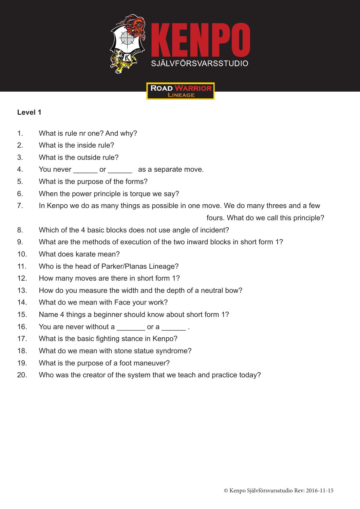



## **Level 1**

- 1. What is rule nr one? And why?
- 2. What is the inside rule?
- 3. What is the outside rule?
- 4. You never or as a separate move.
- 5. What is the purpose of the forms?
- 6. When the power principle is torque we say?
- 7. In Kenpo we do as many things as possible in one move. We do many threes and a few

fours. What do we call this principle?

- 8. Which of the 4 basic blocks does not use angle of incident?
- 9. What are the methods of execution of the two inward blocks in short form 1?
- 10. What does karate mean?
- 11. Who is the head of Parker/Planas Lineage?
- 12. How many moves are there in short form 1?
- 13. How do you measure the width and the depth of a neutral bow?
- 14. What do we mean with Face your work?
- 15. Name 4 things a beginner should know about short form 1?
- 16. You are never without a cor a correct in the vertex or a correct in the  $\sim$
- 17. What is the basic fighting stance in Kenpo?
- 18. What do we mean with stone statue syndrome?
- 19. What is the purpose of a foot maneuver?
- 20. Who was the creator of the system that we teach and practice today?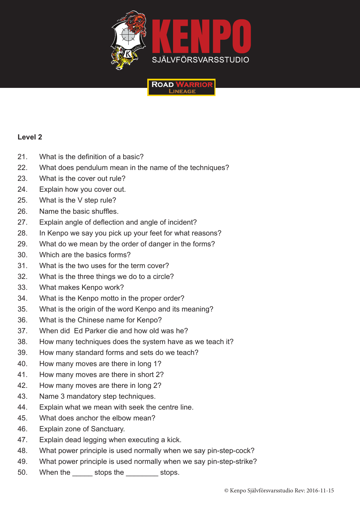

**ROAD W** 



- 21. What is the definition of a basic?
- 22. What does pendulum mean in the name of the techniques?
- 23. What is the cover out rule?
- 24. Explain how you cover out.
- 25. What is the V step rule?
- 26. Name the basic shuffles.
- 27. Explain angle of deflection and angle of incident?
- 28. In Kenpo we say you pick up your feet for what reasons?
- 29. What do we mean by the order of danger in the forms?
- 30. Which are the basics forms?
- 31. What is the two uses for the term cover?
- 32. What is the three things we do to a circle?
- 33. What makes Kenpo work?
- 34. What is the Kenpo motto in the proper order?
- 35. What is the origin of the word Kenpo and its meaning?
- 36. What is the Chinese name for Kenpo?
- 37. When did Ed Parker die and how old was he?
- 38. How many techniques does the system have as we teach it?
- 39. How many standard forms and sets do we teach?
- 40. How many moves are there in long 1?
- 41. How many moves are there in short 2?
- 42. How many moves are there in long 2?
- 43. Name 3 mandatory step techniques.
- 44. Explain what we mean with seek the centre line.
- 45. What does anchor the elbow mean?
- 46. Explain zone of Sanctuary.
- 47. Explain dead legging when executing a kick.
- 48. What power principle is used normally when we say pin-step-cock?
- 49. What power principle is used normally when we say pin-step-strike?
- 50. When the stops the stops.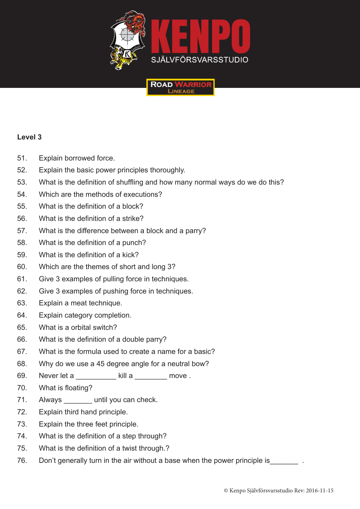

**ROAD** 



- 51. Explain borrowed force.
- 52. Explain the basic power principles thoroughly.
- 53. What is the definition of shuffling and how many normal ways do we do this?
- 54. Which are the methods of executions?
- 55. What is the definition of a block?
- 56. What is the definition of a strike?
- 57. What is the difference between a block and a parry?
- 58. What is the definition of a punch?
- 59. What is the definition of a kick?
- 60. Which are the themes of short and long 3?
- 61. Give 3 examples of pulling force in techniques.
- 62. Give 3 examples of pushing force in techniques.
- 63. Explain a meat technique.
- 64. Explain category completion.
- 65. What is a orbital switch?
- 66. What is the definition of a double parry?
- 67. What is the formula used to create a name for a basic?
- 68. Why do we use a 45 degree angle for a neutral bow?
- 69. Never let a \_\_\_\_\_\_\_\_\_\_ kill a \_\_\_\_\_\_\_\_ move .
- 70. What is floating?
- 71. Always \_\_\_\_\_\_\_\_ until you can check.
- 72. Explain third hand principle.
- 73. Explain the three feet principle.
- 74. What is the definition of a step through?
- 75. What is the definition of a twist through.?
- 76. Don't generally turn in the air without a base when the power principle is